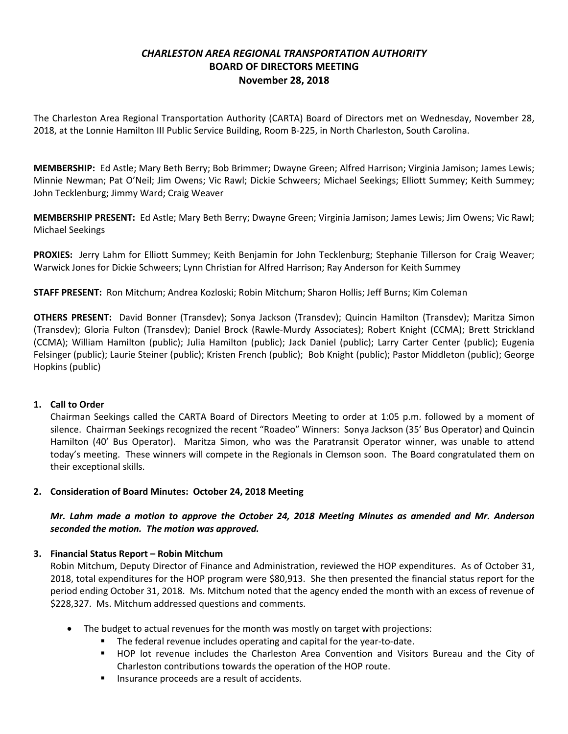# *CHARLESTON AREA REGIONAL TRANSPORTATION AUTHORITY* **BOARD OF DIRECTORS MEETING November 28, 2018**

The Charleston Area Regional Transportation Authority (CARTA) Board of Directors met on Wednesday, November 28, 2018, at the Lonnie Hamilton III Public Service Building, Room B-225, in North Charleston, South Carolina.

**MEMBERSHIP:** Ed Astle; Mary Beth Berry; Bob Brimmer; Dwayne Green; Alfred Harrison; Virginia Jamison; James Lewis; Minnie Newman; Pat O'Neil; Jim Owens; Vic Rawl; Dickie Schweers; Michael Seekings; Elliott Summey; Keith Summey; John Tecklenburg; Jimmy Ward; Craig Weaver

**MEMBERSHIP PRESENT:** Ed Astle; Mary Beth Berry; Dwayne Green; Virginia Jamison; James Lewis; Jim Owens; Vic Rawl; Michael Seekings

**PROXIES:** Jerry Lahm for Elliott Summey; Keith Benjamin for John Tecklenburg; Stephanie Tillerson for Craig Weaver; Warwick Jones for Dickie Schweers; Lynn Christian for Alfred Harrison; Ray Anderson for Keith Summey

**STAFF PRESENT:** Ron Mitchum; Andrea Kozloski; Robin Mitchum; Sharon Hollis; Jeff Burns; Kim Coleman

**OTHERS PRESENT:** David Bonner (Transdev); Sonya Jackson (Transdev); Quincin Hamilton (Transdev); Maritza Simon (Transdev); Gloria Fulton (Transdev); Daniel Brock (Rawle-Murdy Associates); Robert Knight (CCMA); Brett Strickland (CCMA); William Hamilton (public); Julia Hamilton (public); Jack Daniel (public); Larry Carter Center (public); Eugenia Felsinger (public); Laurie Steiner (public); Kristen French (public); Bob Knight (public); Pastor Middleton (public); George Hopkins (public)

### **1. Call to Order**

Chairman Seekings called the CARTA Board of Directors Meeting to order at 1:05 p.m. followed by a moment of silence. Chairman Seekings recognized the recent "Roadeo" Winners: Sonya Jackson (35' Bus Operator) and Quincin Hamilton (40' Bus Operator). Maritza Simon, who was the Paratransit Operator winner, was unable to attend today's meeting. These winners will compete in the Regionals in Clemson soon. The Board congratulated them on their exceptional skills.

### **2. Consideration of Board Minutes: October 24, 2018 Meeting**

*Mr. Lahm made a motion to approve the October 24, 2018 Meeting Minutes as amended and Mr. Anderson seconded the motion. The motion was approved.*

### **3. Financial Status Report – Robin Mitchum**

Robin Mitchum, Deputy Director of Finance and Administration, reviewed the HOP expenditures. As of October 31, 2018, total expenditures for the HOP program were \$80,913. She then presented the financial status report for the period ending October 31, 2018. Ms. Mitchum noted that the agency ended the month with an excess of revenue of \$228,327. Ms. Mitchum addressed questions and comments.

- The budget to actual revenues for the month was mostly on target with projections:
	- The federal revenue includes operating and capital for the year-to-date.
	- § HOP lot revenue includes the Charleston Area Convention and Visitors Bureau and the City of Charleston contributions towards the operation of the HOP route.
	- Insurance proceeds are a result of accidents.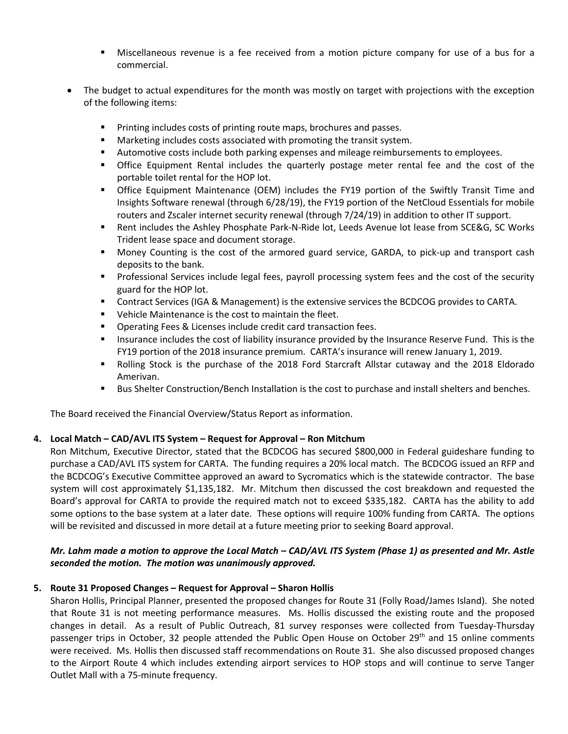- **■** Miscellaneous revenue is a fee received from a motion picture company for use of a bus for a commercial.
- The budget to actual expenditures for the month was mostly on target with projections with the exception of the following items:
	- Printing includes costs of printing route maps, brochures and passes.
	- Marketing includes costs associated with promoting the transit system.
	- § Automotive costs include both parking expenses and mileage reimbursements to employees.
	- § Office Equipment Rental includes the quarterly postage meter rental fee and the cost of the portable toilet rental for the HOP lot.
	- § Office Equipment Maintenance (OEM) includes the FY19 portion of the Swiftly Transit Time and Insights Software renewal (through 6/28/19), the FY19 portion of the NetCloud Essentials for mobile routers and Zscaler internet security renewal (through 7/24/19) in addition to other IT support.
	- Rent includes the Ashley Phosphate Park-N-Ride lot, Leeds Avenue lot lease from SCE&G, SC Works Trident lease space and document storage.
	- Money Counting is the cost of the armored guard service, GARDA, to pick-up and transport cash deposits to the bank.
	- § Professional Services include legal fees, payroll processing system fees and the cost of the security guard for the HOP lot.
	- **Contract Services (IGA & Management) is the extensive services the BCDCOG provides to CARTA.**
	- Vehicle Maintenance is the cost to maintain the fleet.
	- Operating Fees & Licenses include credit card transaction fees.
	- Insurance includes the cost of liability insurance provided by the Insurance Reserve Fund. This is the FY19 portion of the 2018 insurance premium. CARTA's insurance will renew January 1, 2019.
	- Rolling Stock is the purchase of the 2018 Ford Starcraft Allstar cutaway and the 2018 Eldorado Amerivan.
	- Bus Shelter Construction/Bench Installation is the cost to purchase and install shelters and benches.

The Board received the Financial Overview/Status Report as information.

## **4. Local Match – CAD/AVL ITS System – Request for Approval – Ron Mitchum**

Ron Mitchum, Executive Director, stated that the BCDCOG has secured \$800,000 in Federal guideshare funding to purchase a CAD/AVL ITS system for CARTA. The funding requires a 20% local match. The BCDCOG issued an RFP and the BCDCOG's Executive Committee approved an award to Sycromatics which is the statewide contractor. The base system will cost approximately \$1,135,182. Mr. Mitchum then discussed the cost breakdown and requested the Board's approval for CARTA to provide the required match not to exceed \$335,182. CARTA has the ability to add some options to the base system at a later date. These options will require 100% funding from CARTA. The options will be revisited and discussed in more detail at a future meeting prior to seeking Board approval.

## *Mr. Lahm made a motion to approve the Local Match – CAD/AVL ITS System (Phase 1) as presented and Mr. Astle seconded the motion. The motion was unanimously approved.*

## **5. Route 31 Proposed Changes – Request for Approval – Sharon Hollis**

Sharon Hollis, Principal Planner, presented the proposed changes for Route 31 (Folly Road/James Island). She noted that Route 31 is not meeting performance measures. Ms. Hollis discussed the existing route and the proposed changes in detail. As a result of Public Outreach, 81 survey responses were collected from Tuesday-Thursday passenger trips in October, 32 people attended the Public Open House on October 29<sup>th</sup> and 15 online comments were received. Ms. Hollis then discussed staff recommendations on Route 31. She also discussed proposed changes to the Airport Route 4 which includes extending airport services to HOP stops and will continue to serve Tanger Outlet Mall with a 75-minute frequency.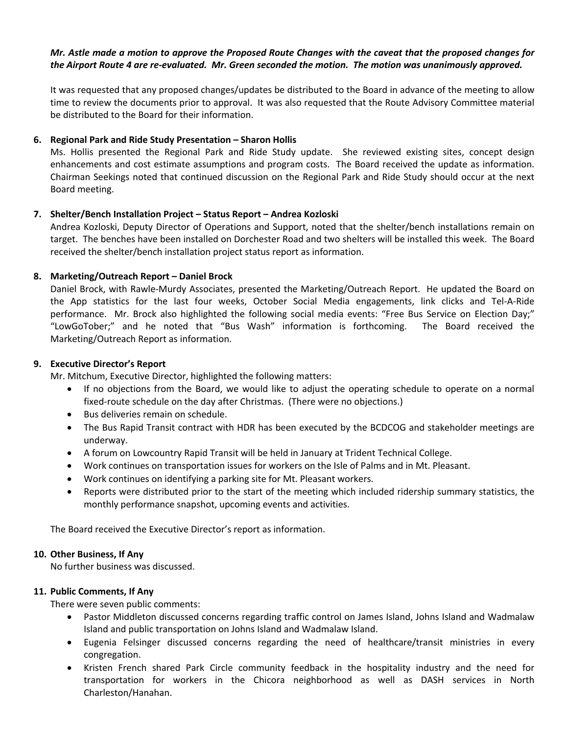### *Mr. Astle made a motion to approve the Proposed Route Changes with the caveat that the proposed changes for the Airport Route 4 are re-evaluated. Mr. Green seconded the motion. The motion was unanimously approved.*

It was requested that any proposed changes/updates be distributed to the Board in advance of the meeting to allow time to review the documents prior to approval. It was also requested that the Route Advisory Committee material be distributed to the Board for their information.

### **6. Regional Park and Ride Study Presentation – Sharon Hollis**

Ms. Hollis presented the Regional Park and Ride Study update. She reviewed existing sites, concept design enhancements and cost estimate assumptions and program costs. The Board received the update as information. Chairman Seekings noted that continued discussion on the Regional Park and Ride Study should occur at the next Board meeting.

## **7. Shelter/Bench Installation Project – Status Report – Andrea Kozloski**

Andrea Kozloski, Deputy Director of Operations and Support, noted that the shelter/bench installations remain on target. The benches have been installed on Dorchester Road and two shelters will be installed this week. The Board received the shelter/bench installation project status report as information.

## **8. Marketing/Outreach Report – Daniel Brock**

Daniel Brock, with Rawle-Murdy Associates, presented the Marketing/Outreach Report. He updated the Board on the App statistics for the last four weeks, October Social Media engagements, link clicks and Tel-A-Ride performance. Mr. Brock also highlighted the following social media events: "Free Bus Service on Election Day;" "LowGoTober;" and he noted that "Bus Wash" information is forthcoming. The Board received the Marketing/Outreach Report as information.

## **9. Executive Director's Report**

Mr. Mitchum, Executive Director, highlighted the following matters:

- If no objections from the Board, we would like to adjust the operating schedule to operate on a normal fixed-route schedule on the day after Christmas. (There were no objections.)
- Bus deliveries remain on schedule.
- The Bus Rapid Transit contract with HDR has been executed by the BCDCOG and stakeholder meetings are underway.
- A forum on Lowcountry Rapid Transit will be held in January at Trident Technical College.
- Work continues on transportation issues for workers on the Isle of Palms and in Mt. Pleasant.
- Work continues on identifying a parking site for Mt. Pleasant workers.
- Reports were distributed prior to the start of the meeting which included ridership summary statistics, the monthly performance snapshot, upcoming events and activities.

The Board received the Executive Director's report as information.

### **10. Other Business, If Any**

No further business was discussed.

### **11. Public Comments, If Any**

There were seven public comments:

- Pastor Middleton discussed concerns regarding traffic control on James Island, Johns Island and Wadmalaw Island and public transportation on Johns Island and Wadmalaw Island.
- Eugenia Felsinger discussed concerns regarding the need of healthcare/transit ministries in every congregation.
- Kristen French shared Park Circle community feedback in the hospitality industry and the need for transportation for workers in the Chicora neighborhood as well as DASH services in North Charleston/Hanahan.